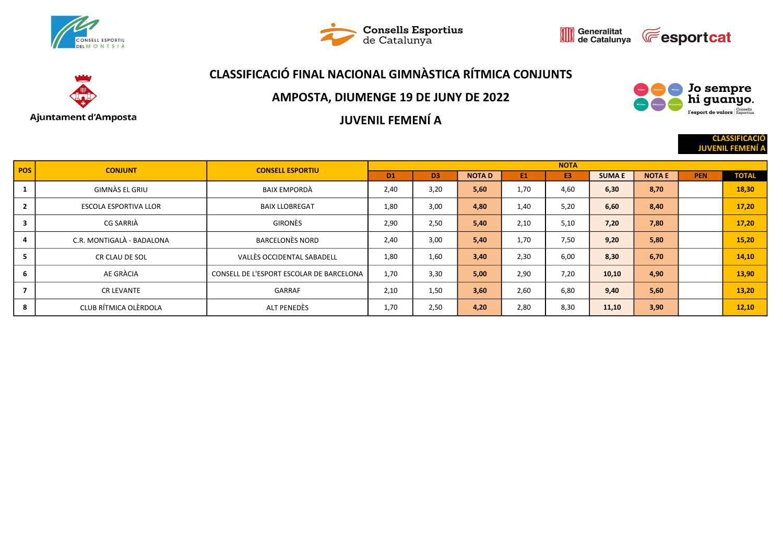







#### AMPOSTA, DIUMENGE 19 DE JUNY DE 2022



**CLASSIFICACI JUVENIL FEMEI** 

JUVENIL FEMENÍ A

| <b>POS</b>               | <b>CONJUNT</b>               | <b>CONSELL ESPORTIU</b>                  |                |                |              |      | <b>NOTA</b>    |              |               |            |              |
|--------------------------|------------------------------|------------------------------------------|----------------|----------------|--------------|------|----------------|--------------|---------------|------------|--------------|
|                          |                              |                                          | D <sub>1</sub> | D <sub>3</sub> | <b>NOTAD</b> | E1   | E <sub>3</sub> | <b>SUMAE</b> | <b>NOTA E</b> | <b>PEN</b> | <b>TOTAL</b> |
|                          | GIMNÀS EL GRIU               | BAIX EMPORDÀ                             | 2,40           | 3,20           | 5,60         | 1,70 | 4,60           | 6,30         | 8,70          |            | 18,30        |
| $\overline{2}$           | <b>ESCOLA ESPORTIVA LLOR</b> | <b>BAIX LLOBREGAT</b>                    | 1,80           | 3,00           | 4,80         | 1.40 | 5.20           | 6,60         | 8,40          |            | 17,20        |
| $\overline{\mathbf{3}}$  | CG SARRIÀ                    | <b>GIRONÈS</b>                           | 2,90           | 2,50           | 5,40         | 2.10 | 5.10           | 7,20         | 7,80          |            | 17,20        |
| 4                        | C.R. MONTIGALÀ - BADALONA    | <b>BARCELONÈS NORD</b>                   | 2,40           | 3,00           | 5,40         | 1,70 | 7.50           | 9,20         | 5,80          |            | 15,20        |
| э.                       | CR CLAU DE SOL               | VALLÈS OCCIDENTAL SABADELL               | 1,80           | 1,60           | 3,40         | 2,30 | 6.00           | 8,30         | 6,70          |            | 14,10        |
| 6                        | AE GRÀCIA                    | CONSELL DE L'ESPORT ESCOLAR DE BARCELONA | 1,70           | 3,30           | 5,00         | 2,90 | 7,20           | 10,10        | 4,90          |            | 13,90        |
| $\overline{\phantom{a}}$ | <b>CR LEVANTE</b>            | GARRAF                                   | 2,10           | 1,50           | 3,60         | 2,60 | 6,80           | 9,40         | 5,60          |            | 13,20        |
| 8                        | CLUB RÍTMICA OLÈRDOLA        | ALT PENEDÈS                              | 1,70           | 2,50           | 4,20         | 2,80 | 8,30           | 11,10        | 3,90          |            | 12,10        |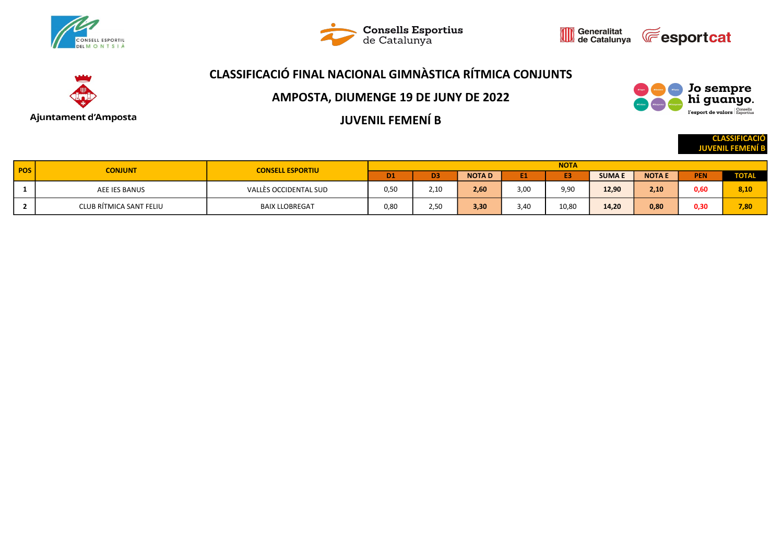





**CLASS JUVENIL FEM** 

Jo sempre<br>hi guanyo. l'esport de valors Esportius

# CLASSIFICACIÓ FINAL NACIONAL GIMNÀSTICA RÍTMICA CONJUNTS



AMPOSTA, DIUMENGE 19 DE JUNY DE 2022

JUVENIL FEMENÍ B

|            |                         |                         |           |                |              |                | <b>NOTA</b>    |              |               |            |              |
|------------|-------------------------|-------------------------|-----------|----------------|--------------|----------------|----------------|--------------|---------------|------------|--------------|
| <b>POS</b> | <b>CONJUNT</b>          | <b>CONSELL ESPORTIU</b> | <b>D1</b> | D <sub>3</sub> | <b>NOTAD</b> | E <sub>1</sub> | E <sub>3</sub> | <b>SUMAE</b> | <b>NOTA E</b> | <b>PEN</b> | <b>TOTAL</b> |
|            | AEE IES BANUS           | VALLÈS OCCIDENTAL SUD   | 0,50      | 2,10           | 2,60         | 3,00           | 9,90           | 12,90        | 2,10          | 0,60       | 8,10         |
|            | CLUB RÍTMICA SANT FELIU | <b>BAIX LLOBREGAT</b>   | 0,80      | 2,50           | 3,30         | 3,40           | 10,80          | 14,20        | 0,80          | 0,30       | 7,80         |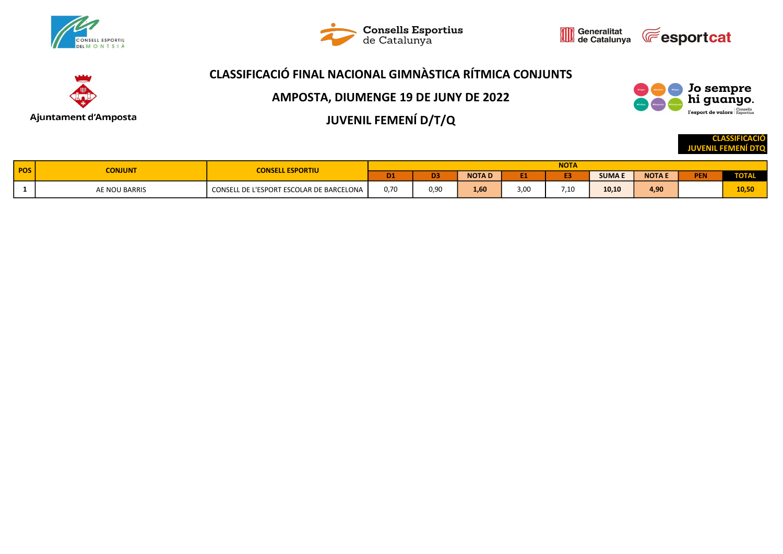

Ajuntament d'Amposta





## CLASSIFICACIÓ FINAL NACIONAL GIMNÀSTICA RÍTMICA CONJUNTS

AMPOSTA, DIUMENGE 19 DE JUNY DE 2022

JUVENIL FEMENÍ D/T/Q

Jo sempre hi guanyo. l'esport de valors Esportius

> CLASSIFICACIÓ JUVENIL FEMENÍ DTQ

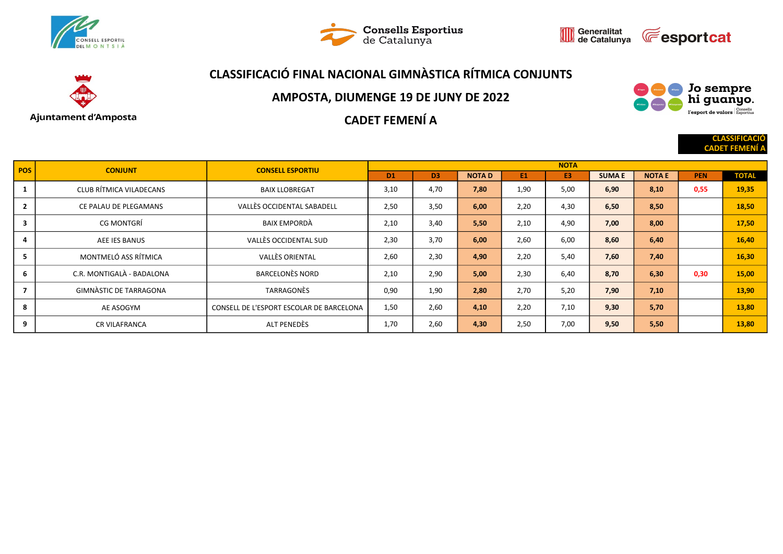







#### AMPOSTA, DIUMENGE 19 DE JUNY DE 2022



**CLASSIFICA CADET FEMEI** 

### CADET FEMENÍ A

| POS <sup>1</sup> | <b>CONJUNT</b>            | <b>CONSELL ESPORTIU</b>                  |                |                |              |           | <b>NOTA</b>    |              |               |            |              |
|------------------|---------------------------|------------------------------------------|----------------|----------------|--------------|-----------|----------------|--------------|---------------|------------|--------------|
|                  |                           |                                          | D <sub>1</sub> | D <sub>3</sub> | <b>NOTAD</b> | <b>E1</b> | E <sub>3</sub> | <b>SUMAE</b> | <b>NOTA E</b> | <b>PEN</b> | <b>TOTAL</b> |
| 1                | CLUB RÍTMICA VILADECANS   | <b>BAIX LLOBREGAT</b>                    | 3,10           | 4,70           | 7,80         | 1,90      | 5.00           | 6,90         | 8,10          | 0,55       | 19,35        |
| $\overline{2}$   | CE PALAU DE PLEGAMANS     | VALLÈS OCCIDENTAL SABADELL               | 2,50           | 3,50           | 6,00         | 2,20      | 4,30           | 6,50         | 8,50          |            | 18,50        |
| 3                | <b>CG MONTGRÍ</b>         | BAIX EMPORDÀ                             | 2,10           | 3,40           | 5,50         | 2.10      | 4,90           | 7,00         | 8,00          |            | 17,50        |
| 4                | AEE IES BANUS             | VALLÈS OCCIDENTAL SUD                    | 2,30           | 3,70           | 6,00         | 2,60      | 6,00           | 8,60         | 6,40          |            | 16,40        |
| 5                | MONTMELÓ ASS RÍTMICA      | <b>VALLÈS ORIENTAL</b>                   | 2,60           | 2,30           | 4,90         | 2,20      | 5.40           | 7,60         | 7,40          |            | 16,30        |
| 6                | C.R. MONTIGALÀ - BADALONA | <b>BARCELONÈS NORD</b>                   | 2,10           | 2,90           | 5,00         | 2,30      | 6,40           | 8,70         | 6,30          | 0,30       | 15,00        |
| $\overline{7}$   | GIMNÀSTIC DE TARRAGONA    | TARRAGONÈS                               | 0,90           | 1,90           | 2,80         | 2,70      | 5,20           | 7,90         | 7,10          |            | 13,90        |
| 8                | AE ASOGYM                 | CONSELL DE L'ESPORT ESCOLAR DE BARCELONA | 1,50           | 2,60           | 4,10         | 2,20      | 7,10           | 9,30         | 5,70          |            | 13,80        |
| 9                | <b>CR VILAFRANCA</b>      | ALT PENEDÈS                              | 1,70           | 2,60           | 4,30         | 2,50      | 7,00           | 9,50         | 5,50          |            | 13,80        |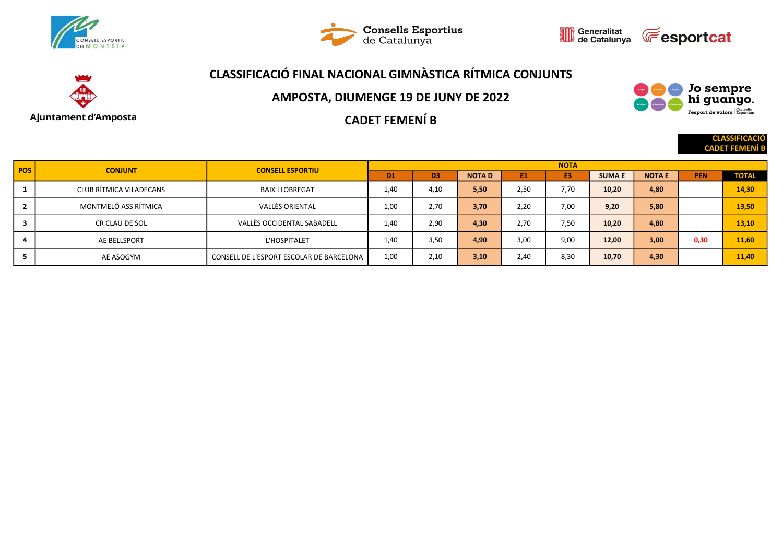







#### AMPOSTA, DIUMENGE 19 DE JUNY DE 2022



**CLASSIFICA CADET FEME** 

CADET FEMENÍ B

| <b>POS</b> | <b>CONJUNT</b>          | <b>CONSELL ESPORTIU</b>                  | <b>NOTA</b>    |                |              |      |      |              |               |            |              |  |  |
|------------|-------------------------|------------------------------------------|----------------|----------------|--------------|------|------|--------------|---------------|------------|--------------|--|--|
|            |                         |                                          | D <sub>1</sub> | D <sub>3</sub> | <b>NOTAD</b> | E1   | E3   | <b>SUMAE</b> | <b>NOTA E</b> | <b>PEN</b> | <b>TOTAL</b> |  |  |
|            | CLUB RÍTMICA VILADECANS | <b>BAIX LLOBREGAT</b>                    | 1,40           | 4,10           | 5,50         | 2,50 | 7.70 | 10,20        | 4,80          |            | 14,30        |  |  |
|            | MONTMELÓ ASS RÍTMICA    | <b>VALLÈS ORIENTAL</b>                   | 1,00           | 2,70           | 3,70         | 2,20 | 7.00 | 9,20         | 5,80          |            | 13,50        |  |  |
| 3          | CR CLAU DE SOL          | VALLÈS OCCIDENTAL SABADELL               | 1,40           | 2,90           | 4,30         | 2.70 | 7.50 | 10,20        | 4,80          |            | 13,10        |  |  |
|            | AE BELLSPORT            | L'HOSPITALET                             | 1,40           | 3,50           | 4,90         | 3,00 | 9,00 | 12,00        | 3,00          | 0,30       | 11,60        |  |  |
|            | AE ASOGYM               | CONSELL DE L'ESPORT ESCOLAR DE BARCELONA | 1,00           | 2,10           | 3,10         | 2,40 | 8,30 | 10,70        | 4,30          |            | 11,40        |  |  |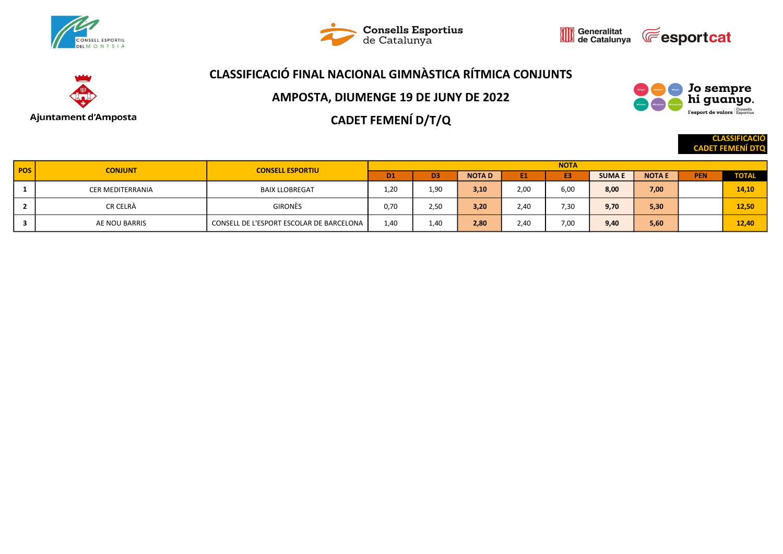







AMPOSTA, DIUMENGE 19 DE JUNY DE 2022

CADET FEMENÍ D/T/Q

**CLASSIFICACIO** CADET FEMENÍ DTQ

Jo sempre hi guanyo. l'esport de valors Esportius

| <b>POS</b> | <b>CONJUNT</b>   | <b>CONSELL ESPORTIU</b>                  | <b>NOTA</b>    |      |              |                |      |              |               |            |              |  |  |
|------------|------------------|------------------------------------------|----------------|------|--------------|----------------|------|--------------|---------------|------------|--------------|--|--|
|            |                  |                                          | D <sub>1</sub> | D3   | <b>NOTAD</b> | E <sub>1</sub> | E3   | <b>SUMAE</b> | <b>NOTA E</b> | <b>PEN</b> | <b>TOTAL</b> |  |  |
|            | CER MEDITERRANIA | <b>BAIX LLOBREGAT</b>                    | 1,20           | 1,90 | 3,10         | 2,00           | 6,00 | 8,00         | 7,00          |            | 14,10        |  |  |
|            | CR CELRÀ         | <b>GIRONÈS</b>                           | 0,70           | 2,50 | 3,20         | 2,40           | 7,30 | 9,70         | 5,30          |            | 12,50        |  |  |
|            | AE NOU BARRIS    | CONSELL DE L'ESPORT ESCOLAR DE BARCELONA | 1,40           | 1,40 | 2,80         | 2,40           | 7,00 | 9,40         | 5,60          |            | 12,40        |  |  |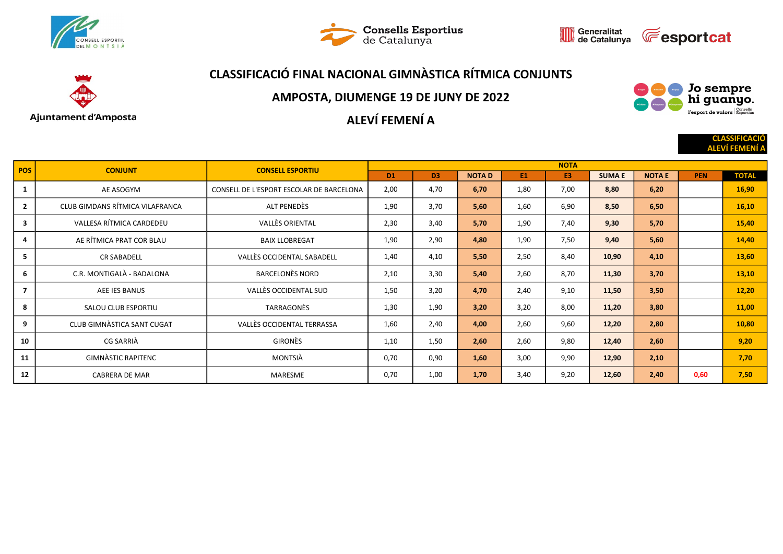





# Ajuntament d'Amposta

## CLASSIFICACIÓ FINAL NACIONAL GIMNÀSTICA RÍTMICA CONJUNTS

#### AMPOSTA, DIUMENGE 19 DE JUNY DE 2022

## ALEVÍ FEMENÍ A



**CLASSIFICAC ALEVÍ FEMEN** 

| <b>POS</b>     | <b>CONJUNT</b>                  | <b>CONSELL ESPORTIU</b>                  | <b>NOTA</b>    |                |              |      |      |              |               |            |              |  |
|----------------|---------------------------------|------------------------------------------|----------------|----------------|--------------|------|------|--------------|---------------|------------|--------------|--|
|                |                                 |                                          | D <sub>1</sub> | D <sub>3</sub> | <b>NOTAD</b> | E1   | E3   | <b>SUMAE</b> | <b>NOTA E</b> | <b>PEN</b> | <b>TOTAL</b> |  |
| 1              | AE ASOGYM                       | CONSELL DE L'ESPORT ESCOLAR DE BARCELONA | 2,00           | 4,70           | 6,70         | 1,80 | 7,00 | 8,80         | 6,20          |            | 16,90        |  |
| $\overline{2}$ | CLUB GIMDANS RÍTMICA VILAFRANCA | ALT PENEDÈS                              | 1,90           | 3,70           | 5,60         | 1,60 | 6,90 | 8,50         | 6,50          |            | 16,10        |  |
| 3              | VALLESA RÍTMICA CARDEDEU        | <b>VALLÈS ORIENTAL</b>                   | 2,30           | 3,40           | 5,70         | 1,90 | 7,40 | 9,30         | 5,70          |            | 15,40        |  |
| 4              | AE RÍTMICA PRAT COR BLAU        | <b>BAIX LLOBREGAT</b>                    | 1,90           | 2,90           | 4,80         | 1,90 | 7,50 | 9,40         | 5,60          |            | 14,40        |  |
| 5              | <b>CR SABADELL</b>              | VALLÈS OCCIDENTAL SABADELL               | 1,40           | 4,10           | 5,50         | 2,50 | 8,40 | 10,90        | 4,10          |            | 13,60        |  |
| 6              | C.R. MONTIGALÀ - BADALONA       | <b>BARCELONÈS NORD</b>                   | 2,10           | 3,30           | 5,40         | 2,60 | 8,70 | 11,30        | 3,70          |            | 13,10        |  |
| $\overline{7}$ | AEE IES BANUS                   | VALLÈS OCCIDENTAL SUD                    | 1,50           | 3,20           | 4,70         | 2,40 | 9,10 | 11,50        | 3,50          |            | 12,20        |  |
| 8              | SALOU CLUB ESPORTIU             | TARRAGONES                               | 1,30           | 1,90           | 3,20         | 3,20 | 8,00 | 11,20        | 3,80          |            | 11,00        |  |
| 9              | CLUB GIMNASTICA SANT CUGAT      | VALLÈS OCCIDENTAL TERRASSA               | 1,60           | 2,40           | 4,00         | 2,60 | 9,60 | 12,20        | 2,80          |            | 10,80        |  |
| 10             | CG SARRIÀ                       | <b>GIRONÈS</b>                           | 1,10           | 1,50           | 2,60         | 2,60 | 9,80 | 12,40        | 2,60          |            | 9,20         |  |
| 11             | <b>GIMNÀSTIC RAPITENC</b>       | MONTSIÀ                                  | 0,70           | 0,90           | 1,60         | 3,00 | 9,90 | 12,90        | 2,10          |            | 7,70         |  |
| 12             | <b>CABRERA DE MAR</b>           | MARESME                                  | 0,70           | 1,00           | 1,70         | 3,40 | 9,20 | 12,60        | 2,40          | 0,60       | 7,50         |  |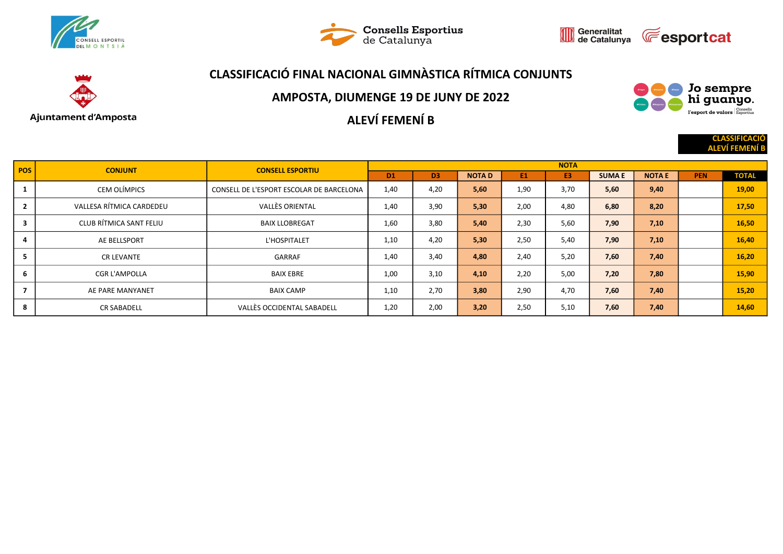





CLASSIFICACIÓ

Jo sempre<br>hi guanyo. l'esport de valors Esportius

# CLASSIFICACIÓ FINAL NACIONAL GIMNÀSTICA RÍTMICA CONJUNTS



#### AMPOSTA, DIUMENGE 19 DE JUNY DE 2022

ALEVÍ FEMENÍ B

|                |                          |                                          |             |                |              |      |                |              |              |            | <b>ALEVÍ FEMENÍ B</b> |
|----------------|--------------------------|------------------------------------------|-------------|----------------|--------------|------|----------------|--------------|--------------|------------|-----------------------|
| <b>POS</b>     | <b>CONJUNT</b>           | <b>CONSELL ESPORTIU</b>                  | <b>NOTA</b> |                |              |      |                |              |              |            |                       |
|                |                          |                                          | TD1.        | D <sub>3</sub> | <b>NOTAD</b> | E1   | E <sub>3</sub> | <b>SUMAE</b> | <b>NOTAE</b> | <b>PEN</b> | <b>TOTAL</b>          |
|                | CEM OLÍMPICS             | CONSELL DE L'ESPORT ESCOLAR DE BARCELONA | 1,40        | 4,20           | 5,60         | 1,90 | 3,70           | 5,60         | 9,40         |            | 19,00                 |
| $\mathbf{2}$   | VALLESA RÍTMICA CARDEDEU | <b>VALLÈS ORIENTAL</b>                   | 1,40        | 3,90           | 5,30         | 2,00 | 4,80           | 6,80         | 8,20         |            | 17,50                 |
| 3              | CLUB RÍTMICA SANT FELIU  | <b>BAIX LLOBREGAT</b>                    | 1,60        | 3,80           | 5,40         | 2,30 | 5,60           | 7,90         | 7,10         |            | 16,50                 |
| 4              | AE BELLSPORT             | L'HOSPITALET                             | 1,10        | 4,20           | 5,30         | 2,50 | 5,40           | 7,90         | 7,10         |            | 16,40                 |
| 5              | <b>CR LEVANTE</b>        | GARRAF                                   | 1,40        | 3,40           | 4,80         | 2,40 | 5,20           | 7,60         | 7,40         |            | 16,20                 |
| 6              | <b>CGR L'AMPOLLA</b>     | <b>BAIX EBRE</b>                         | 1,00        | 3,10           | 4,10         | 2,20 | 5,00           | 7,20         | 7,80         |            | 15,90                 |
| $\overline{7}$ | AE PARE MANYANET         | <b>BAIX CAMP</b>                         | 1,10        | 2,70           | 3,80         | 2,90 | 4,70           | 7,60         | 7,40         |            | 15,20                 |
| 8              | <b>CR SABADELL</b>       | VALLÈS OCCIDENTAL SABADELL               | 1,20        | 2,00           | 3,20         | 2,50 | 5,10           | 7,60         | 7,40         |            | 14,60                 |